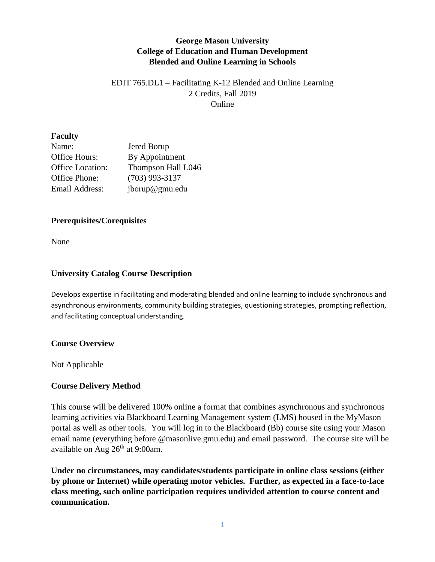## **George Mason University College of Education and Human Development Blended and Online Learning in Schools**

### EDIT 765.DL1 – Facilitating K-12 Blended and Online Learning 2 Credits, Fall 2019 Online

#### **Faculty**

| Name:                   | Jered Borup        |
|-------------------------|--------------------|
| Office Hours:           | By Appointment     |
| <b>Office Location:</b> | Thompson Hall L046 |
| Office Phone:           | $(703)$ 993-3137   |
| <b>Email Address:</b>   | jborup@gmu.edu     |

#### **Prerequisites/Corequisites**

None

### **University Catalog Course Description**

Develops expertise in facilitating and moderating blended and online learning to include synchronous and asynchronous environments, community building strategies, questioning strategies, prompting reflection, and facilitating conceptual understanding.

#### **Course Overview**

Not Applicable

### **Course Delivery Method**

This course will be delivered 100% online a format that combines asynchronous and synchronous learning activities via Blackboard Learning Management system (LMS) housed in the MyMason portal as well as other tools. You will log in to the Blackboard (Bb) course site using your Mason email name (everything before @masonlive.gmu.edu) and email password. The course site will be available on Aug 26<sup>th</sup> at 9:00am.

**Under no circumstances, may candidates/students participate in online class sessions (either by phone or Internet) while operating motor vehicles. Further, as expected in a face-to-face class meeting, such online participation requires undivided attention to course content and communication.**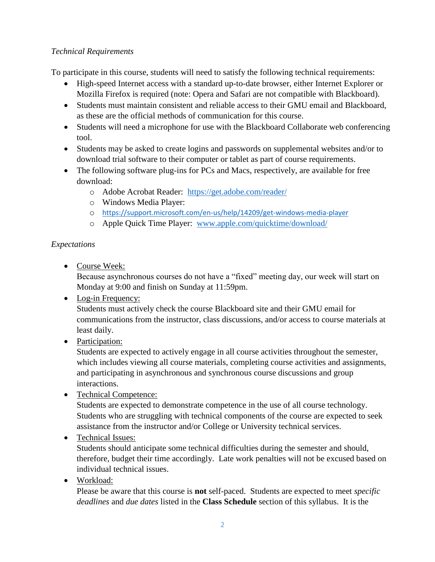### *Technical Requirements*

To participate in this course, students will need to satisfy the following technical requirements:

- High-speed Internet access with a standard up-to-date browser, either Internet Explorer or Mozilla Firefox is required (note: Opera and Safari are not compatible with Blackboard).
- Students must maintain consistent and reliable access to their GMU email and Blackboard, as these are the official methods of communication for this course.
- Students will need a microphone for use with the Blackboard Collaborate web conferencing tool.
- Students may be asked to create logins and passwords on supplemental websites and/or to download trial software to their computer or tablet as part of course requirements.
- The following software plug-ins for PCs and Macs, respectively, are available for free download:
	- o Adobe Acrobat Reader: <https://get.adobe.com/reader/>
	- o Windows Media Player:
	- o <https://support.microsoft.com/en-us/help/14209/get-windows-media-player>
	- o Apple Quick Time Player: [www.apple.com/quicktime/download/](http://www.apple.com/quicktime/download/)

## *Expectations*

• Course Week:

Because asynchronous courses do not have a "fixed" meeting day, our week will start on Monday at 9:00 and finish on Sunday at 11:59pm.

• Log-in Frequency:

Students must actively check the course Blackboard site and their GMU email for communications from the instructor, class discussions, and/or access to course materials at least daily.

• Participation:

Students are expected to actively engage in all course activities throughout the semester, which includes viewing all course materials, completing course activities and assignments, and participating in asynchronous and synchronous course discussions and group interactions.

• Technical Competence:

Students are expected to demonstrate competence in the use of all course technology. Students who are struggling with technical components of the course are expected to seek assistance from the instructor and/or College or University technical services.

## • Technical Issues:

Students should anticipate some technical difficulties during the semester and should, therefore, budget their time accordingly. Late work penalties will not be excused based on individual technical issues.

Workload:

Please be aware that this course is **not** self-paced. Students are expected to meet *specific deadlines* and *due dates* listed in the **Class Schedule** section of this syllabus. It is the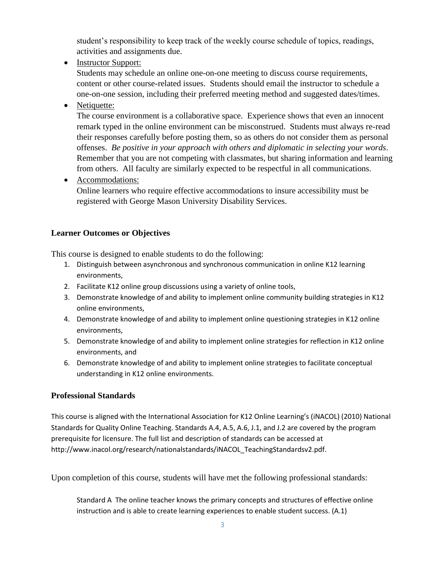student's responsibility to keep track of the weekly course schedule of topics, readings, activities and assignments due.

• Instructor Support:

Students may schedule an online one-on-one meeting to discuss course requirements, content or other course-related issues. Students should email the instructor to schedule a one-on-one session, including their preferred meeting method and suggested dates/times.

• Netiquette:

The course environment is a collaborative space. Experience shows that even an innocent remark typed in the online environment can be misconstrued. Students must always re-read their responses carefully before posting them, so as others do not consider them as personal offenses. *Be positive in your approach with others and diplomatic in selecting your words*. Remember that you are not competing with classmates, but sharing information and learning from others. All faculty are similarly expected to be respectful in all communications.

• Accommodations:

Online learners who require effective accommodations to insure accessibility must be registered with George Mason University Disability Services.

### **Learner Outcomes or Objectives**

This course is designed to enable students to do the following:

- 1. Distinguish between asynchronous and synchronous communication in online K12 learning environments,
- 2. Facilitate K12 online group discussions using a variety of online tools,
- 3. Demonstrate knowledge of and ability to implement online community building strategies in K12 online environments,
- 4. Demonstrate knowledge of and ability to implement online questioning strategies in K12 online environments,
- 5. Demonstrate knowledge of and ability to implement online strategies for reflection in K12 online environments, and
- 6. Demonstrate knowledge of and ability to implement online strategies to facilitate conceptual understanding in K12 online environments.

## **Professional Standards**

This course is aligned with the International Association for K12 Online Learning's (iNACOL) (2010) National Standards for Quality Online Teaching. Standards A.4, A.5, A.6, J.1, and J.2 are covered by the program prerequisite for licensure. The full list and description of standards can be accessed at http://www.inacol.org/research/nationalstandards/iNACOL\_TeachingStandardsv2.pdf.

Upon completion of this course, students will have met the following professional standards:

Standard A The online teacher knows the primary concepts and structures of effective online instruction and is able to create learning experiences to enable student success. (A.1)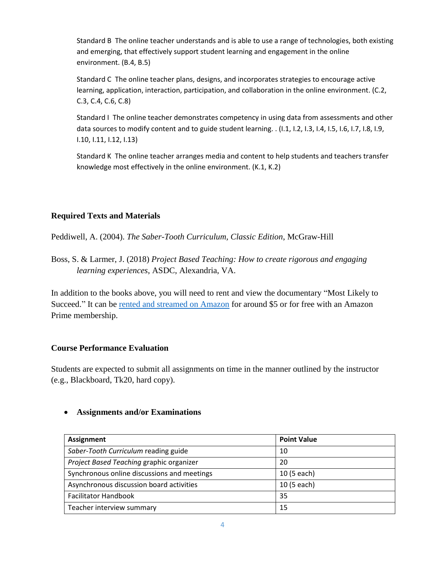Standard B The online teacher understands and is able to use a range of technologies, both existing and emerging, that effectively support student learning and engagement in the online environment. (B.4, B.5)

Standard C The online teacher plans, designs, and incorporates strategies to encourage active learning, application, interaction, participation, and collaboration in the online environment. (C.2, C.3, C.4, C.6, C.8)

Standard I The online teacher demonstrates competency in using data from assessments and other data sources to modify content and to guide student learning. . (I.1, I.2, I.3, I.4, I.5, I.6, I.7, I.8, I.9, I.10, I.11, I.12, I.13)

Standard K The online teacher arranges media and content to help students and teachers transfer knowledge most effectively in the online environment. (K.1, K.2)

### **Required Texts and Materials**

Peddiwell, A. (2004). *The Saber-Tooth Curriculum, Classic Edition*, McGraw-Hill

Boss, S. & Larmer, J. (2018) *Project Based Teaching: How to create rigorous and engaging learning experiences*, ASDC, Alexandria, VA.

In addition to the books above, you will need to rent and view the documentary "Most Likely to Succeed." It can be [rented and streamed on Amazon](https://www.amazon.com/Most-Likely-Succeed-Brian-Cesson/dp/B07F85R9CN) for around \$5 or for free with an Amazon Prime membership.

### **Course Performance Evaluation**

Students are expected to submit all assignments on time in the manner outlined by the instructor (e.g., Blackboard, Tk20, hard copy).

### **Assignments and/or Examinations**

| <b>Assignment</b>                           | <b>Point Value</b> |
|---------------------------------------------|--------------------|
| Saber-Tooth Curriculum reading guide        | 10                 |
| Project Based Teaching graphic organizer    | 20                 |
| Synchronous online discussions and meetings | 10 (5 each)        |
| Asynchronous discussion board activities    | 10 (5 each)        |
| <b>Facilitator Handbook</b>                 | 35                 |
| Teacher interview summary                   | 15                 |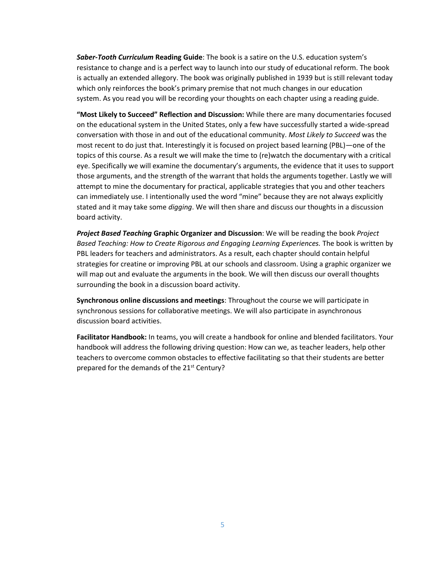*Saber-Tooth Curriculum* **Reading Guide**: The book is a satire on the U.S. education system's resistance to change and is a perfect way to launch into our study of educational reform. The book is actually an extended allegory. The book was originally published in 1939 but is still relevant today which only reinforces the book's primary premise that not much changes in our education system. As you read you will be recording your thoughts on each chapter using a reading guide.

**"Most Likely to Succeed" Reflection and Discussion:** While there are many documentaries focused on the educational system in the United States, only a few have successfully started a wide-spread conversation with those in and out of the educational community. *Most Likely to Succeed* was the most recent to do just that. Interestingly it is focused on project based learning (PBL)—one of the topics of this course. As a result we will make the time to (re)watch the documentary with a critical eye. Specifically we will examine the documentary's arguments, the evidence that it uses to support those arguments, and the strength of the warrant that holds the arguments together. Lastly we will attempt to mine the documentary for practical, applicable strategies that you and other teachers can immediately use. I intentionally used the word "mine" because they are not always explicitly stated and it may take some *digging*. We will then share and discuss our thoughts in a discussion board activity.

*Project Based Teaching* **Graphic Organizer and Discussion**: We will be reading the book *Project Based Teaching: How to Create Rigorous and Engaging Learning Experiences.* The book is written by PBL leaders for teachers and administrators. As a result, each chapter should contain helpful strategies for creatine or improving PBL at our schools and classroom. Using a graphic organizer we will map out and evaluate the arguments in the book. We will then discuss our overall thoughts surrounding the book in a discussion board activity.

**Synchronous online discussions and meetings**: Throughout the course we will participate in synchronous sessions for collaborative meetings. We will also participate in asynchronous discussion board activities.

**Facilitator Handbook:** In teams, you will create a handbook for online and blended facilitators. Your handbook will address the following driving question: How can we, as teacher leaders, help other teachers to overcome common obstacles to effective facilitating so that their students are better prepared for the demands of the 21<sup>st</sup> Century?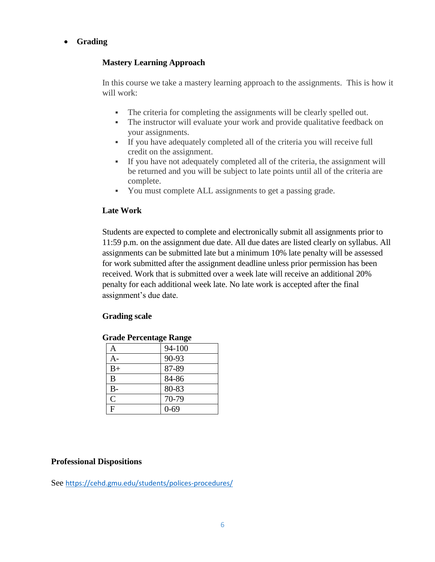### **Grading**

#### **Mastery Learning Approach**

In this course we take a mastery learning approach to the assignments. This is how it will work:

- The criteria for completing the assignments will be clearly spelled out.
- The instructor will evaluate your work and provide qualitative feedback on your assignments.
- If you have adequately completed all of the criteria you will receive full credit on the assignment.
- If you have not adequately completed all of the criteria, the assignment will be returned and you will be subject to late points until all of the criteria are complete.
- You must complete ALL assignments to get a passing grade.

#### **Late Work**

Students are expected to complete and electronically submit all assignments prior to 11:59 p.m. on the assignment due date. All due dates are listed clearly on syllabus. All assignments can be submitted late but a minimum 10% late penalty will be assessed for work submitted after the assignment deadline unless prior permission has been received. Work that is submitted over a week late will receive an additional 20% penalty for each additional week late. No late work is accepted after the final assignment's due date.

### **Grading scale**

| <b>Grade Percentage Range</b> |  |
|-------------------------------|--|
|-------------------------------|--|

| А              | 94-100   |
|----------------|----------|
| A-             | 90-93    |
| $B+$           | 87-89    |
| B              | 84-86    |
| $B -$          | 80-83    |
| $\mathsf{C}$   | 70-79    |
| $\overline{F}$ | $0 - 69$ |

#### **Professional Dispositions**

See <https://cehd.gmu.edu/students/polices-procedures/>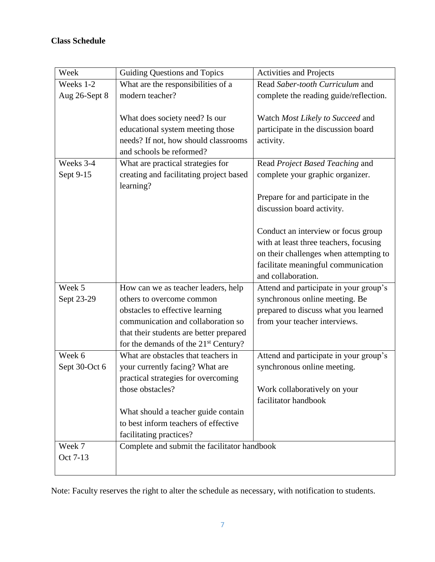# **Class Schedule**

| Week          | Guiding Questions and Topics                 | <b>Activities and Projects</b>         |  |
|---------------|----------------------------------------------|----------------------------------------|--|
| Weeks 1-2     | What are the responsibilities of a           | Read Saber-tooth Curriculum and        |  |
| Aug 26-Sept 8 | modern teacher?                              | complete the reading guide/reflection. |  |
|               |                                              |                                        |  |
|               | What does society need? Is our               | Watch Most Likely to Succeed and       |  |
|               | educational system meeting those             | participate in the discussion board    |  |
|               | needs? If not, how should classrooms         | activity.                              |  |
|               | and schools be reformed?                     |                                        |  |
| Weeks 3-4     | What are practical strategies for            | Read Project Based Teaching and        |  |
| Sept 9-15     | creating and facilitating project based      | complete your graphic organizer.       |  |
|               | learning?                                    |                                        |  |
|               |                                              | Prepare for and participate in the     |  |
|               |                                              | discussion board activity.             |  |
|               |                                              |                                        |  |
|               |                                              | Conduct an interview or focus group    |  |
|               |                                              | with at least three teachers, focusing |  |
|               |                                              | on their challenges when attempting to |  |
|               |                                              | facilitate meaningful communication    |  |
|               |                                              | and collaboration.                     |  |
| Week 5        | How can we as teacher leaders, help          | Attend and participate in your group's |  |
| Sept 23-29    | others to overcome common                    | synchronous online meeting. Be         |  |
|               | obstacles to effective learning              | prepared to discuss what you learned   |  |
|               | communication and collaboration so           | from your teacher interviews.          |  |
|               | that their students are better prepared      |                                        |  |
|               | for the demands of the $21st$ Century?       |                                        |  |
| Week 6        | What are obstacles that teachers in          | Attend and participate in your group's |  |
| Sept 30-Oct 6 | your currently facing? What are              | synchronous online meeting.            |  |
|               | practical strategies for overcoming          |                                        |  |
|               | those obstacles?                             | Work collaboratively on your           |  |
|               |                                              | facilitator handbook                   |  |
|               | What should a teacher guide contain          |                                        |  |
|               | to best inform teachers of effective         |                                        |  |
|               | facilitating practices?                      |                                        |  |
| Week 7        | Complete and submit the facilitator handbook |                                        |  |
| Oct 7-13      |                                              |                                        |  |
|               |                                              |                                        |  |

Note: Faculty reserves the right to alter the schedule as necessary, with notification to students.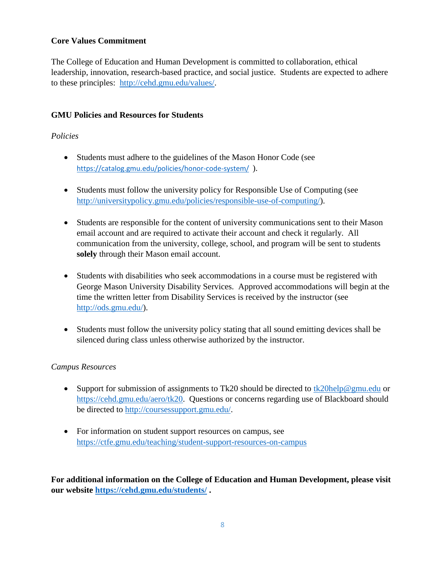### **Core Values Commitment**

The College of Education and Human Development is committed to collaboration, ethical leadership, innovation, research-based practice, and social justice. Students are expected to adhere to these principles: [http://cehd.gmu.edu/values/.](http://cehd.gmu.edu/values/)

#### **GMU Policies and Resources for Students**

#### *Policies*

- Students must adhere to the guidelines of the Mason Honor Code (see <https://catalog.gmu.edu/policies/honor-code-system/>).
- Students must follow the university policy for Responsible Use of Computing (see [http://universitypolicy.gmu.edu/policies/responsible-use-of-computing/\)](http://universitypolicy.gmu.edu/policies/responsible-use-of-computing/).
- Students are responsible for the content of university communications sent to their Mason email account and are required to activate their account and check it regularly. All communication from the university, college, school, and program will be sent to students **solely** through their Mason email account.
- Students with disabilities who seek accommodations in a course must be registered with George Mason University Disability Services. Approved accommodations will begin at the time the written letter from Disability Services is received by the instructor (see [http://ods.gmu.edu/\)](http://ods.gmu.edu/).
- Students must follow the university policy stating that all sound emitting devices shall be silenced during class unless otherwise authorized by the instructor.

#### *Campus Resources*

- Support for submission of assignments to Tk20 should be directed to [tk20help@gmu.edu](mailto:tk20help@gmu.edu) or [https://cehd.gmu.edu/aero/tk20.](https://cehd.gmu.edu/aero/tk20) Questions or concerns regarding use of Blackboard should be directed to [http://coursessupport.gmu.edu/.](http://coursessupport.gmu.edu/)
- For information on student support resources on campus, see <https://ctfe.gmu.edu/teaching/student-support-resources-on-campus>

**For additional information on the College of Education and Human Development, please visit our website<https://cehd.gmu.edu/students/> .**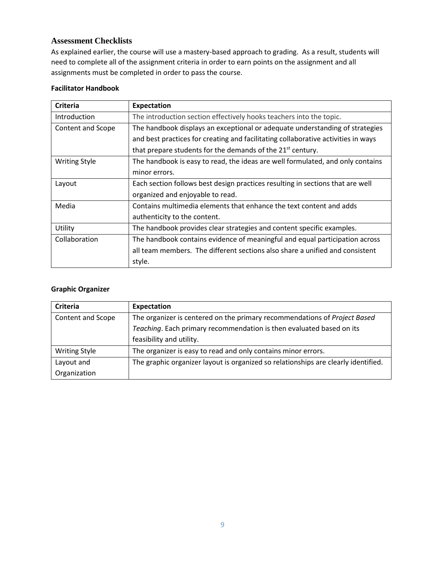#### **Assessment Checklists**

As explained earlier, the course will use a mastery-based approach to grading. As a result, students will need to complete all of the assignment criteria in order to earn points on the assignment and all assignments must be completed in order to pass the course.

#### **Facilitator Handbook**

| Criteria             | Expectation                                                                       |  |  |
|----------------------|-----------------------------------------------------------------------------------|--|--|
| <b>Introduction</b>  | The introduction section effectively hooks teachers into the topic.               |  |  |
| Content and Scope    | The handbook displays an exceptional or adequate understanding of strategies      |  |  |
|                      | and best practices for creating and facilitating collaborative activities in ways |  |  |
|                      | that prepare students for the demands of the 21 <sup>st</sup> century.            |  |  |
| <b>Writing Style</b> | The handbook is easy to read, the ideas are well formulated, and only contains    |  |  |
|                      | minor errors.                                                                     |  |  |
| Layout               | Each section follows best design practices resulting in sections that are well    |  |  |
|                      | organized and enjoyable to read.                                                  |  |  |
| Media                | Contains multimedia elements that enhance the text content and adds               |  |  |
|                      | authenticity to the content.                                                      |  |  |
| Utility              | The handbook provides clear strategies and content specific examples.             |  |  |
| Collaboration        | The handbook contains evidence of meaningful and equal participation across       |  |  |
|                      | all team members. The different sections also share a unified and consistent      |  |  |
|                      | style.                                                                            |  |  |

#### **Graphic Organizer**

| Criteria             | Expectation                                                                        |  |
|----------------------|------------------------------------------------------------------------------------|--|
| Content and Scope    | The organizer is centered on the primary recommendations of Project Based          |  |
|                      | Teaching. Each primary recommendation is then evaluated based on its               |  |
|                      | feasibility and utility.                                                           |  |
| <b>Writing Style</b> | The organizer is easy to read and only contains minor errors.                      |  |
| Layout and           | The graphic organizer layout is organized so relationships are clearly identified. |  |
| Organization         |                                                                                    |  |